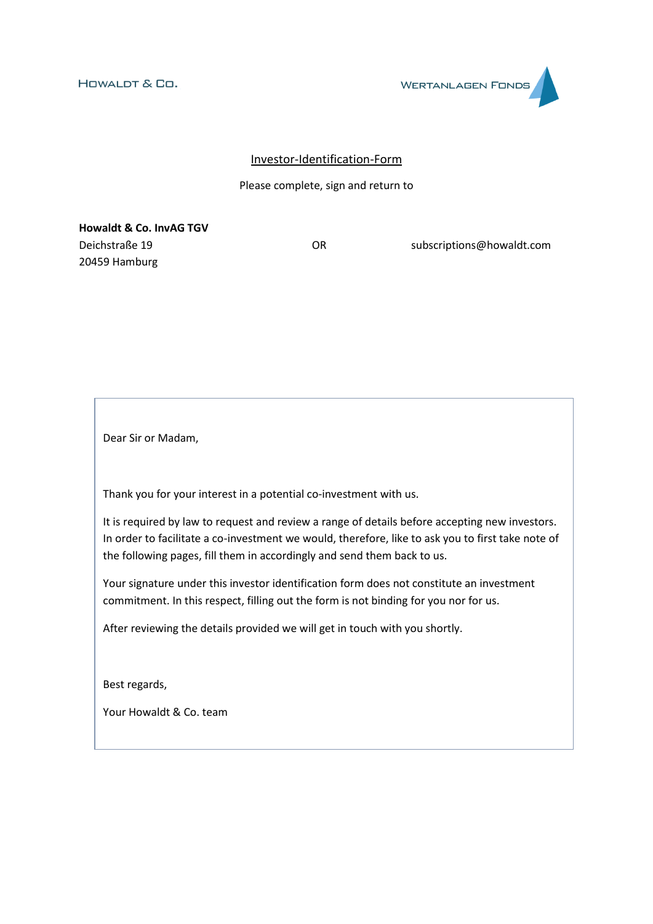**WERTANLAGEN FONDS** 

# Investor-Identification-Form

### Please complete, sign and return to

**Howaldt & Co. InvAG TGV** Deichstraße 19 OR subscriptions@howaldt.com 20459 Hamburg

Dear Sir or Madam,

Thank you for your interest in a potential co-investment with us.

It is required by law to request and review a range of details before accepting new investors. In order to facilitate a co-investment we would, therefore, like to ask you to first take note of the following pages, fill them in accordingly and send them back to us.

Your signature under this investor identification form does not constitute an investment commitment. In this respect, filling out the form is not binding for you nor for us.

After reviewing the details provided we will get in touch with you shortly.

Best regards,

Your Howaldt & Co. team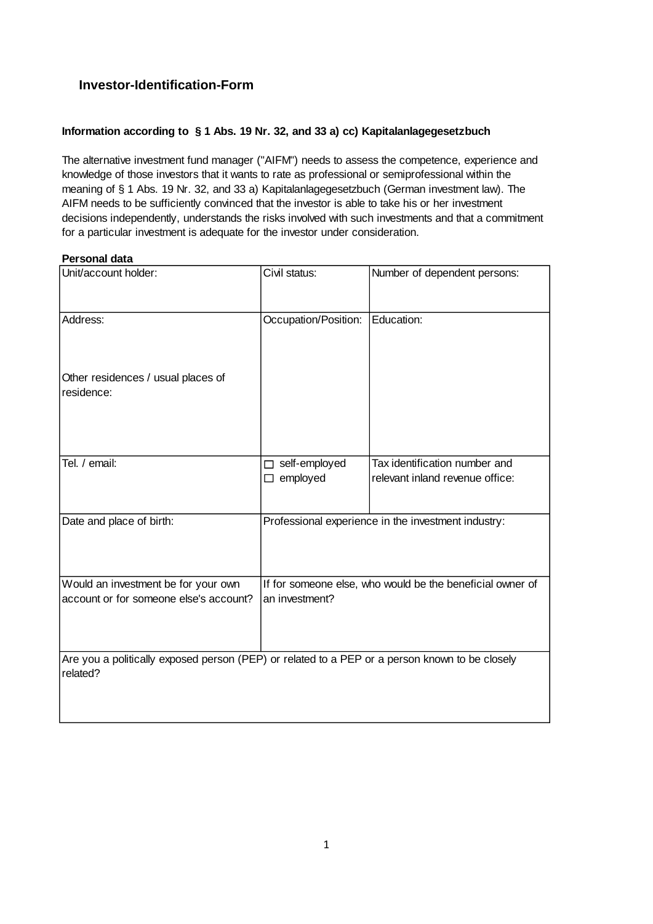# **Investor-Identification-Form**

# **Information according to § 1 Abs. 19 Nr. 32, and 33 a) cc) Kapitalanlagegesetzbuch**

The alternative investment fund manager ("AIFM") needs to assess the competence, experience and knowledge of those investors that it wants to rate as professional or semiprofessional within the meaning of § 1 Abs. 19 Nr. 32, and 33 a) Kapitalanlagegesetzbuch (German investment law). The AIFM needs to be sufficiently convinced that the investor is able to take his or her investment decisions independently, understands the risks involved with such investments and that a commitment for a particular investment is adequate for the investor under consideration.

### **Personal data**

| Unit/account holder:                                                                                       | Civil status:                                                               | Number of dependent persons:                                     |  |  |  |  |
|------------------------------------------------------------------------------------------------------------|-----------------------------------------------------------------------------|------------------------------------------------------------------|--|--|--|--|
| Address:                                                                                                   | Occupation/Position:                                                        | Education:                                                       |  |  |  |  |
| Other residences / usual places of<br>residence:                                                           |                                                                             |                                                                  |  |  |  |  |
| Tel. / email:                                                                                              | □ self-employed<br>$\Box$ employed                                          | Tax identification number and<br>relevant inland revenue office: |  |  |  |  |
| Date and place of birth:                                                                                   | Professional experience in the investment industry:                         |                                                                  |  |  |  |  |
| Would an investment be for your own<br>account or for someone else's account?                              | If for someone else, who would be the beneficial owner of<br>an investment? |                                                                  |  |  |  |  |
| Are you a politically exposed person (PEP) or related to a PEP or a person known to be closely<br>related? |                                                                             |                                                                  |  |  |  |  |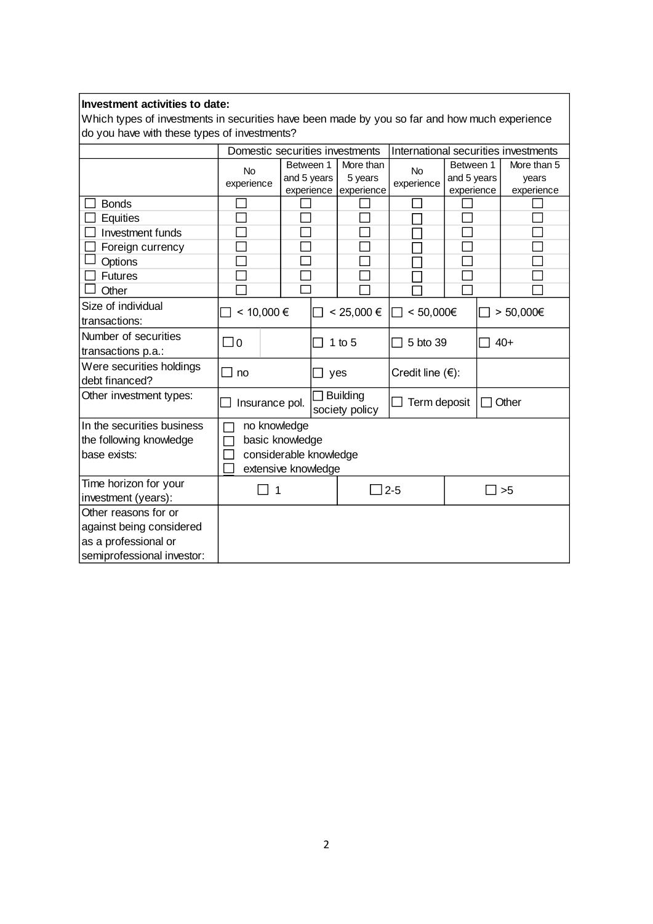# **Investment activities to date:**

Which types of investments in securities have been made by you so far and how much experience do you have with these types of investments?

|                                                                          | Domestic securities investments                                                  |             |                                   |                       | International securities investments |             |  |             |
|--------------------------------------------------------------------------|----------------------------------------------------------------------------------|-------------|-----------------------------------|-----------------------|--------------------------------------|-------------|--|-------------|
|                                                                          | Between 1<br><b>No</b>                                                           |             |                                   | More than             | <b>No</b>                            | Between 1   |  | More than 5 |
|                                                                          | experience                                                                       | and 5 years |                                   | 5 years               | experience                           | and 5 years |  | vears       |
|                                                                          |                                                                                  | experience  |                                   | experience            |                                      | experience  |  | experience  |
| <b>Bonds</b>                                                             |                                                                                  |             |                                   |                       |                                      |             |  |             |
| Equities                                                                 |                                                                                  |             |                                   |                       |                                      |             |  |             |
| Investment funds                                                         |                                                                                  |             |                                   |                       |                                      |             |  |             |
| Foreign currency                                                         |                                                                                  |             |                                   |                       |                                      |             |  |             |
| Options                                                                  |                                                                                  |             |                                   |                       |                                      |             |  |             |
| <b>Futures</b>                                                           |                                                                                  |             |                                   |                       |                                      |             |  |             |
| Other                                                                    |                                                                                  |             |                                   |                       |                                      |             |  |             |
| Size of individual<br>transactions:                                      | < 10,000 €                                                                       |             |                                   | $< 25,000 \in$        | < 50,000€                            |             |  | > 50,000€   |
| Number of securities<br>transactions p.a.:                               | $\Box$ 0                                                                         |             | П                                 | 1 to $5$              | 5 bto 39                             |             |  | $40+$       |
| Were securities holdings<br>debt financed?                               | no                                                                               |             | $\sqcup$ yes                      |                       | Credit line $(\epsilon)$ :           |             |  |             |
| Other investment types:                                                  | Insurance pol.                                                                   |             | <b>Building</b><br>society policy | Term deposit<br>Other |                                      |             |  |             |
| In the securities business<br>the following knowledge<br>base exists:    | no knowledge<br>basic knowledge<br>considerable knowledge<br>extensive knowledge |             |                                   |                       |                                      |             |  |             |
| Time horizon for your<br>investment (years):                             | 1                                                                                |             | $2 - 5$                           |                       | >5                                   |             |  |             |
| Other reasons for or<br>against being considered<br>as a professional or |                                                                                  |             |                                   |                       |                                      |             |  |             |
| semiprofessional investor:                                               |                                                                                  |             |                                   |                       |                                      |             |  |             |